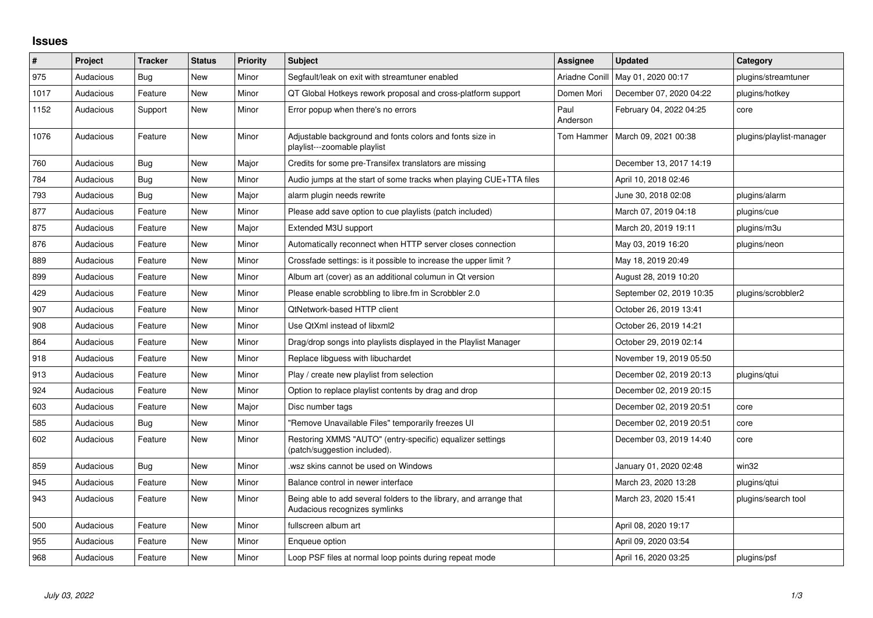## **Issues**

| #    | <b>Project</b> | <b>Tracker</b> | <b>Status</b> | <b>Priority</b> | <b>Subject</b>                                                                                      | <b>Assignee</b>  | Updated                  | Category                 |
|------|----------------|----------------|---------------|-----------------|-----------------------------------------------------------------------------------------------------|------------------|--------------------------|--------------------------|
| 975  | Audacious      | Bug            | <b>New</b>    | Minor           | Segfault/leak on exit with streamtuner enabled                                                      | Ariadne Conill   | May 01, 2020 00:17       | plugins/streamtuner      |
| 1017 | Audacious      | Feature        | <b>New</b>    | Minor           | QT Global Hotkeys rework proposal and cross-platform support                                        | Domen Mori       | December 07, 2020 04:22  | plugins/hotkey           |
| 1152 | Audacious      | Support        | New           | Minor           | Error popup when there's no errors                                                                  | Paul<br>Anderson | February 04, 2022 04:25  | core                     |
| 1076 | Audacious      | Feature        | New           | Minor           | Adjustable background and fonts colors and fonts size in<br>playlist---zoomable playlist            | Tom Hammer       | March 09, 2021 00:38     | plugins/playlist-manager |
| 760  | Audacious      | <b>Bug</b>     | New           | Major           | Credits for some pre-Transifex translators are missing                                              |                  | December 13, 2017 14:19  |                          |
| 784  | Audacious      | <b>Bug</b>     | <b>New</b>    | Minor           | Audio jumps at the start of some tracks when playing CUE+TTA files                                  |                  | April 10, 2018 02:46     |                          |
| 793  | Audacious      | <b>Bug</b>     | <b>New</b>    | Major           | alarm plugin needs rewrite                                                                          |                  | June 30, 2018 02:08      | plugins/alarm            |
| 877  | Audacious      | Feature        | New           | Minor           | Please add save option to cue playlists (patch included)                                            |                  | March 07, 2019 04:18     | plugins/cue              |
| 875  | Audacious      | Feature        | New           | Major           | Extended M3U support                                                                                |                  | March 20, 2019 19:11     | plugins/m3u              |
| 876  | Audacious      | Feature        | New           | Minor           | Automatically reconnect when HTTP server closes connection                                          |                  | May 03, 2019 16:20       | plugins/neon             |
| 889  | Audacious      | Feature        | <b>New</b>    | Minor           | Crossfade settings: is it possible to increase the upper limit?                                     |                  | May 18, 2019 20:49       |                          |
| 899  | Audacious      | Feature        | <b>New</b>    | Minor           | Album art (cover) as an additional columun in Qt version                                            |                  | August 28, 2019 10:20    |                          |
| 429  | Audacious      | Feature        | New           | Minor           | Please enable scrobbling to libre.fm in Scrobbler 2.0                                               |                  | September 02, 2019 10:35 | plugins/scrobbler2       |
| 907  | Audacious      | Feature        | <b>New</b>    | Minor           | <b>QtNetwork-based HTTP client</b>                                                                  |                  | October 26, 2019 13:41   |                          |
| 908  | Audacious      | Feature        | <b>New</b>    | Minor           | Use QtXml instead of libxml2                                                                        |                  | October 26, 2019 14:21   |                          |
| 864  | Audacious      | Feature        | <b>New</b>    | Minor           | Drag/drop songs into playlists displayed in the Playlist Manager                                    |                  | October 29, 2019 02:14   |                          |
| 918  | Audacious      | Feature        | <b>New</b>    | Minor           | Replace libguess with libuchardet                                                                   |                  | November 19, 2019 05:50  |                          |
| 913  | Audacious      | Feature        | <b>New</b>    | Minor           | Play / create new playlist from selection                                                           |                  | December 02, 2019 20:13  | plugins/qtui             |
| 924  | Audacious      | Feature        | <b>New</b>    | Minor           | Option to replace playlist contents by drag and drop                                                |                  | December 02, 2019 20:15  |                          |
| 603  | Audacious      | Feature        | <b>New</b>    | Major           | Disc number tags                                                                                    |                  | December 02, 2019 20:51  | core                     |
| 585  | Audacious      | Bug            | <b>New</b>    | Minor           | "Remove Unavailable Files" temporarily freezes UI                                                   |                  | December 02, 2019 20:51  | core                     |
| 602  | Audacious      | Feature        | <b>New</b>    | Minor           | Restoring XMMS "AUTO" (entry-specific) equalizer settings<br>(patch/suggestion included).           |                  | December 03, 2019 14:40  | core                     |
| 859  | Audacious      | Bug            | <b>New</b>    | Minor           | wsz skins cannot be used on Windows                                                                 |                  | January 01, 2020 02:48   | win32                    |
| 945  | Audacious      | Feature        | <b>New</b>    | Minor           | Balance control in newer interface                                                                  |                  | March 23, 2020 13:28     | plugins/qtui             |
| 943  | Audacious      | Feature        | New           | Minor           | Being able to add several folders to the library, and arrange that<br>Audacious recognizes symlinks |                  | March 23, 2020 15:41     | plugins/search tool      |
| 500  | Audacious      | Feature        | <b>New</b>    | Minor           | fullscreen album art                                                                                |                  | April 08, 2020 19:17     |                          |
| 955  | Audacious      | Feature        | New           | Minor           | Enqueue option                                                                                      |                  | April 09, 2020 03:54     |                          |
| 968  | Audacious      | Feature        | <b>New</b>    | Minor           | Loop PSF files at normal loop points during repeat mode                                             |                  | April 16, 2020 03:25     | plugins/psf              |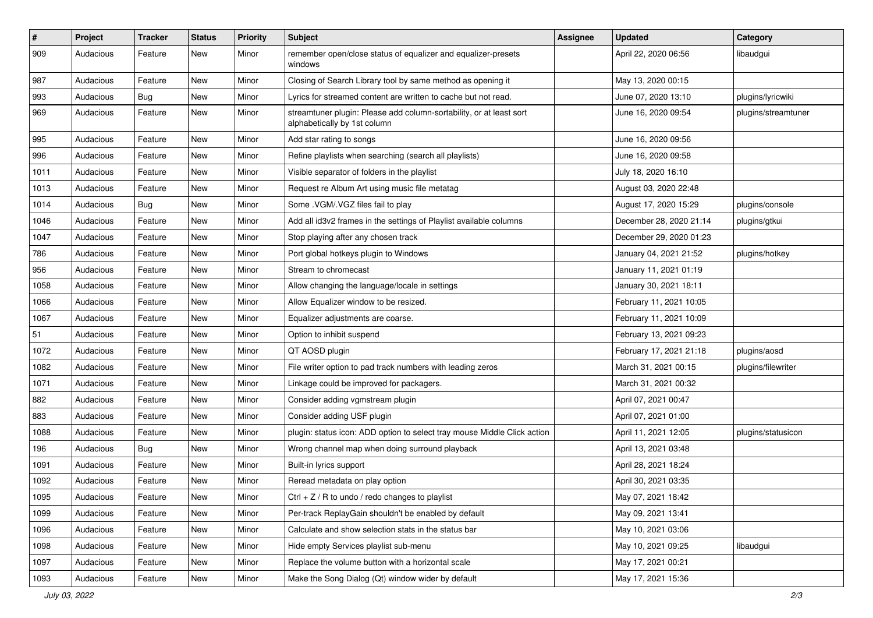| $\vert$ # | Project   | <b>Tracker</b> | <b>Status</b> | <b>Priority</b> | <b>Subject</b>                                                                                      | <b>Assignee</b> | <b>Updated</b>          | Category            |
|-----------|-----------|----------------|---------------|-----------------|-----------------------------------------------------------------------------------------------------|-----------------|-------------------------|---------------------|
| 909       | Audacious | Feature        | New           | Minor           | remember open/close status of equalizer and equalizer-presets<br>windows                            |                 | April 22, 2020 06:56    | libaudgui           |
| 987       | Audacious | Feature        | New           | Minor           | Closing of Search Library tool by same method as opening it                                         |                 | May 13, 2020 00:15      |                     |
| 993       | Audacious | Bug            | New           | Minor           | Lyrics for streamed content are written to cache but not read.                                      |                 | June 07, 2020 13:10     | plugins/lyricwiki   |
| 969       | Audacious | Feature        | New           | Minor           | streamtuner plugin: Please add column-sortability, or at least sort<br>alphabetically by 1st column |                 | June 16, 2020 09:54     | plugins/streamtuner |
| 995       | Audacious | Feature        | New           | Minor           | Add star rating to songs                                                                            |                 | June 16, 2020 09:56     |                     |
| 996       | Audacious | Feature        | New           | Minor           | Refine playlists when searching (search all playlists)                                              |                 | June 16, 2020 09:58     |                     |
| 1011      | Audacious | Feature        | New           | Minor           | Visible separator of folders in the playlist                                                        |                 | July 18, 2020 16:10     |                     |
| 1013      | Audacious | Feature        | New           | Minor           | Request re Album Art using music file metatag                                                       |                 | August 03, 2020 22:48   |                     |
| 1014      | Audacious | Bug            | New           | Minor           | Some .VGM/.VGZ files fail to play                                                                   |                 | August 17, 2020 15:29   | plugins/console     |
| 1046      | Audacious | Feature        | New           | Minor           | Add all id3v2 frames in the settings of Playlist available columns                                  |                 | December 28, 2020 21:14 | plugins/gtkui       |
| 1047      | Audacious | Feature        | New           | Minor           | Stop playing after any chosen track                                                                 |                 | December 29, 2020 01:23 |                     |
| 786       | Audacious | Feature        | New           | Minor           | Port global hotkeys plugin to Windows                                                               |                 | January 04, 2021 21:52  | plugins/hotkey      |
| 956       | Audacious | Feature        | New           | Minor           | Stream to chromecast                                                                                |                 | January 11, 2021 01:19  |                     |
| 1058      | Audacious | Feature        | New           | Minor           | Allow changing the language/locale in settings                                                      |                 | January 30, 2021 18:11  |                     |
| 1066      | Audacious | Feature        | New           | Minor           | Allow Equalizer window to be resized.                                                               |                 | February 11, 2021 10:05 |                     |
| 1067      | Audacious | Feature        | New           | Minor           | Equalizer adjustments are coarse.                                                                   |                 | February 11, 2021 10:09 |                     |
| 51        | Audacious | Feature        | New           | Minor           | Option to inhibit suspend                                                                           |                 | February 13, 2021 09:23 |                     |
| 1072      | Audacious | Feature        | New           | Minor           | QT AOSD plugin                                                                                      |                 | February 17, 2021 21:18 | plugins/aosd        |
| 1082      | Audacious | Feature        | New           | Minor           | File writer option to pad track numbers with leading zeros                                          |                 | March 31, 2021 00:15    | plugins/filewriter  |
| 1071      | Audacious | Feature        | New           | Minor           | Linkage could be improved for packagers.                                                            |                 | March 31, 2021 00:32    |                     |
| 882       | Audacious | Feature        | New           | Minor           | Consider adding vgmstream plugin                                                                    |                 | April 07, 2021 00:47    |                     |
| 883       | Audacious | Feature        | New           | Minor           | Consider adding USF plugin                                                                          |                 | April 07, 2021 01:00    |                     |
| 1088      | Audacious | Feature        | New           | Minor           | plugin: status icon: ADD option to select tray mouse Middle Click action                            |                 | April 11, 2021 12:05    | plugins/statusicon  |
| 196       | Audacious | Bug            | New           | Minor           | Wrong channel map when doing surround playback                                                      |                 | April 13, 2021 03:48    |                     |
| 1091      | Audacious | Feature        | New           | Minor           | Built-in lyrics support                                                                             |                 | April 28, 2021 18:24    |                     |
| 1092      | Audacious | Feature        | <b>New</b>    | Minor           | Reread metadata on play option                                                                      |                 | April 30, 2021 03:35    |                     |
| 1095      | Audacious | Feature        | New           | Minor           | Ctrl $+$ Z / R to undo / redo changes to playlist                                                   |                 | May 07, 2021 18:42      |                     |
| 1099      | Audacious | Feature        | New           | Minor           | Per-track ReplayGain shouldn't be enabled by default                                                |                 | May 09, 2021 13:41      |                     |
| 1096      | Audacious | Feature        | New           | Minor           | Calculate and show selection stats in the status bar                                                |                 | May 10, 2021 03:06      |                     |
| 1098      | Audacious | Feature        | New           | Minor           | Hide empty Services playlist sub-menu                                                               |                 | May 10, 2021 09:25      | libaudgui           |
| 1097      | Audacious | Feature        | New           | Minor           | Replace the volume button with a horizontal scale                                                   |                 | May 17, 2021 00:21      |                     |
| 1093      | Audacious | Feature        | New           | Minor           | Make the Song Dialog (Qt) window wider by default                                                   |                 | May 17, 2021 15:36      |                     |